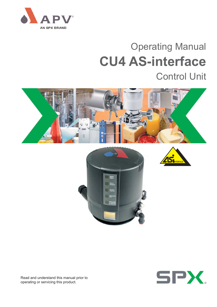

# Operating Manual **CU4 AS-interface** Control Unit









Read and understand this manual prior to operating or servicing this product.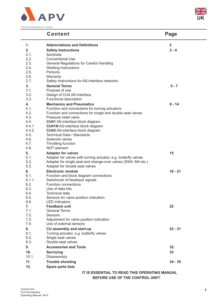

Control Unit CU4 AS-interface UK-0 / 31.05.2010



|                | <b>Content</b>                                                  | Page                    |
|----------------|-----------------------------------------------------------------|-------------------------|
| 1.             | <b>Abbreviations and Definitions</b>                            | $\overline{\mathbf{2}}$ |
| 2.             | <b>Safety Instructions</b>                                      | $2 - 4$                 |
| 2.1.           | <b>Sentinels</b>                                                |                         |
| 2.2.           | <b>Conventional Use</b>                                         |                         |
| 2.3.           | <b>General Regulations for Careful Handling</b>                 |                         |
| 2.4.           | <b>Welding Instructions</b>                                     |                         |
| 2.5.<br>2.6.   | Persons                                                         |                         |
| 2.7.           | Warranty<br>Safety Instructions for AS-interface networks       |                         |
| 3.             | <b>General Terms</b>                                            | $5 - 7$                 |
| 3.1.           | Purpose of use                                                  |                         |
| 3.2.           | Design of CU4 AS-interface                                      |                         |
| 3.3.           | Functional description                                          |                         |
| 4.             | <b>Mechanics and Pneumatics</b>                                 | $8 - 14$                |
| 4.1.           | Function and connections for turning actuators                  |                         |
| 4.2.           | Function and connections for single and double seat valves      |                         |
| 4.3.           | Pressure relief valve                                           |                         |
| 4.4.           | CU41 AS-interface block diagram                                 |                         |
| 4.4.1          | <b>CU41N AS-interface block diagram</b>                         |                         |
| 4.4.2          | <b>CU43 AS-interface block diagram</b>                          |                         |
| 4.5.           | Technical Data / Standards                                      |                         |
| 4.6.           | Solenoid valves                                                 |                         |
| 4.7.           | Throttling function                                             |                         |
| 4.8.           | NOT element                                                     |                         |
| 5.             | <b>Adapter for valves</b>                                       | 15                      |
| 5.1.           | Adapter for valves with turning actuator, e.g. butterfly valves |                         |
| 5.2.           | Adapter for single seat and change-over valves (SW4, M4 etc.)   |                         |
| 5.3.           | Adapter for double seat valves                                  |                         |
| 6.             | <b>Electronic module</b>                                        | $16 - 21$               |
| 6.1.           | Function and block diagram connections                          |                         |
| 6.1.1.<br>6.2. | Switchover of feedback signals<br><b>Function connections</b>   |                         |
| 6.3.           | Use of data bits                                                |                         |
| 6.4.           | Technical data                                                  |                         |
| 6.5.           | Sensors for valve position indication                           |                         |
| 6.6.           | <b>LED</b> indicators                                           |                         |
| 7.             | <b>Feedback unit</b>                                            | 22                      |
| 7.1.           | <b>General Terms</b>                                            |                         |
| 7.2.           | Sensors                                                         |                         |
| 7.3.           | Adjustment for valve position indication                        |                         |
| 7.4.           | Use of external sensors                                         |                         |
| 8.             | <b>CU assembly and start-up</b>                                 | $23 - 31$               |
| 8.1.           | Turning actuator, e.g. butterfly valves                         |                         |
| 8.2.           | Single seat valves                                              |                         |
| 8.3.           | Double seat valves                                              |                         |
| 9.             | <b>Accessories and Tools</b>                                    | 32                      |
| 10.            | <b>Servicing</b>                                                | 33                      |
| 10.1.          | Disassembly                                                     |                         |
| 11.            | <b>Trouble shooting</b>                                         | $34 - 35$               |
| 12.            | <b>Spare parts lists</b>                                        |                         |
|                | IT IS ESSENTIAL TO READ THIS OPERATING MANUAL                   |                         |

**BEFORE USE OF THE CONTROL UNIT!**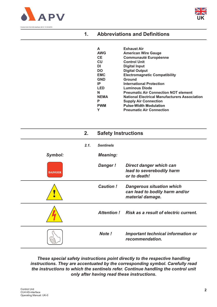



### **1. Abbreviations and Definitions**

| А           | <b>Exhaust Air</b>                                   |
|-------------|------------------------------------------------------|
| <b>AWG</b>  | <b>American Wire Gauge</b>                           |
| <b>CE</b>   | <b>Communauté Européenne</b>                         |
| CU          | <b>Control Unit</b>                                  |
| DI          | <b>Digital Input</b>                                 |
| <b>DO</b>   | <b>Digital Output</b>                                |
| <b>EMC</b>  | <b>Electromagnetic Compatibility</b>                 |
| <b>GND</b>  | Ground                                               |
| IP          | <b>International Protection</b>                      |
| LED         | Luminous Diode                                       |
| N           | <b>Pneumatic Air Connection NOT element</b>          |
| <b>NEMA</b> | <b>National Electrical Manufacturers Association</b> |
| P           | <b>Supply Air Connection</b>                         |
| <b>PWM</b>  | <b>Pulse-Width Modulation</b>                        |
|             | <b>Pneumatic Air Connection</b>                      |

|               | 2.   | <b>Safety Instructions</b> |                                                                                        |
|---------------|------|----------------------------|----------------------------------------------------------------------------------------|
|               | 2.1. | <b>Sentinels</b>           |                                                                                        |
| Symbol:       |      | <b>Meaning:</b>            |                                                                                        |
| <b>DANGER</b> |      | <b>Danger!</b>             | Direct danger which can<br>lead to severebodily harm<br>or to death!                   |
|               |      | <b>Caution!</b>            | <b>Dangerous situation which</b><br>can lead to bodily harm and/or<br>material damage. |
|               |      |                            | Attention! Risk as a result of electric current.                                       |
|               |      | Note!                      | Important technical information or<br>recommendation.                                  |

### *These special safety instructions point directly to the respective handling instructions. They are accentuated by the corresponding symbol. Carefully read the instructions to which the sentinels refer. Continue handling the control unit only after having read these instructions.*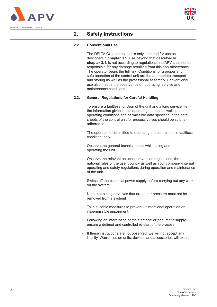



### **2. Safety Instructions**

#### **2.2. Conventional Use**

The DELTA CU4 control unit is only intended for use as described in **chapter 3.1.** Use beyond that described in **chapter 3.1.** is not according to regulations and APV shall not be responsible for any damage resulting from this non-observance. The operator bears the full risk. Conditions for a proper and safe operation of the control unit are the appropriate transport and storing as well as the professional assembly. Conventional use also means the observance of operating, service and maintenance conditions.

#### **2.3. General Regulations for Careful Handling**

To ensure a faultless function of the unit and a long service life, the information given in this operating manual as well as the operating conditions and permissible data specified in the data sheets of the control unit for process valves should be strictly adhered to.

- The operator is committed to operating the control unit in faultless condition, only.
- Observe the general technical rules while using and operating the unit.
- Observe the relevant accident prevention regulations, the national rules of the user country as well as your company-internal operating and safety regulations during operation and maintenance of the unit.
- Switch off the electrical power supply before carrying out any work on the system!
- Note that piping or valves that are under pressure must not be removed from a system!
- Take suitable measures to prevent unintentional operation or impermissible impairment.
- Following an interruption of the electrical or pneumatic supply, ensure a defined and controlled re-start of the process!
- If these instructions are not observed, we will not accept any liability. Warranties on units, devices and accessories will expire!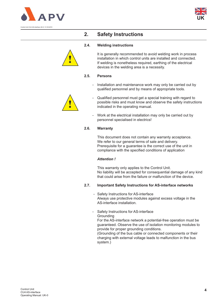



### **2. Safety Instructions**

#### **2.4. Welding instructions**



It is generally recommended to avoid welding work in process installation in which control units are installed and connected. If welding is nonetheless required, earthing of the electrical devices in the welding area is a necessity.

#### **2.5. Persons**

Installation and maintenance work may only be carried out by qualified personnel and by means of appropriate tools.



- Qualified personnel must get a special training with regard to possible risks and must know and observe the safety instructions indicated in the operating manual.
- Work at the electrical installation may only be carried out by personnel specialised in electrics!

#### **2.6. Warranty**

This document does not contain any warranty acceptance. We refer to our general terms of sale and delivery. Prerequisite for a guarantee is the correct use of the unit in compliance with the specified conditions of application

#### *Attention !*

This warranty only applies to the Control Unit. No liability will be accepted for consequential damage of any kind that could arise from the failure or malfunction of the device.

#### **2.7. Important Safety Instructions for AS-interface networks**

- Safety Instructions for AS-interface Always use protective modules against excess voltage in the AS-interface installation.
- Safety Instructions for AS-interface **Grounding**

For the AS-interface network a potential-free operation must be guaranteed. Observe the use of isolation monitoring modules to provide for proper grounding conditions.

(Grounding of the bus cable or connected components or their charging with external voltage leads to malfunction in the bus system.)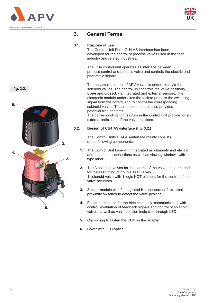



### **3. General Terms**

#### **3.1. Purpose of use**

The Control Unit Delta CU4 AS-interface has been developed for the control of process valves used in the food industry and related industries.

The CU4 control unit operates as interface between process control and process valve and controls the electric and pneumatic signals.

The pneumatic control of APV valves is undertaken via the solenoid valves. The control unit controls the valve positions, *open* and *closed*, via integrated and external sensors. The electronic module undertakes the task to process the switching signal from the control and to control the corresponding solenoid valves. The electronic module also provides potential-free contacts.

The corresponding light signals in the control unit provide for an external indiciation of the valve positions.

#### **3.2. Design of CU4 AS-interface (fig. 3.2.)**

The Control Units CU4 AS-interface mainly consists of the following components:

- **1.** The Control Unit base with integrated air channels and electric and pneumatic connections as well as viewing windows with type label.
- **2.** 1 or 3 solenoid valves for the control of the valve actuators and for the seat lifting of double seat valves.
- 1 solenoid valve with 1 logic NOT element for the control of the valve actuators.
- **3.** Sensor module with 2 integrated Hall sensors or 2 external proximity switches to detect the valve position.
- **4.** Electronic module for the electric supply, communication with control, evaluation of feedback signals and control of solenoid valves as well as valve position indication through LED.
- **5.** Clamp ring to fasten the CU4 on the adapter.
- **6.** Cover with LED optics.



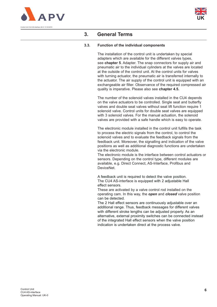



### **3. General Terms**

#### **3.3. Function of the individual components**

The installation of the control unit is undertaken by special adapters which are available for the different valves types, see **chapter 5**. Adapter. The snap connectors for supply air and pneumatic air to the individual cylinders at the valves are located at the outside of the control unit. At the control units for valves with turning actuator, the pneumatic air is transferred internally to the actuator. The air supply of the control unit is equipped with an exchangeable air filter. Observance of the required compressed air quality is imperative. Please also see **chapter 4.5.**

The number of the solenoid valves installed in the CU4 depends on the valve actuators to be controlled. Single seat and butterfly valves and double seat valves without seat lift function require 1 solenoid valve. Control units for double seat valves are equipped with 3 solenoid valves. For the manual actuation, the solenoid valves are provided with a safe handle which is easy to operate.

The electronic module installed in the control unit fulfills the task to process the electric signals from the control, to control the solenoid valves and to evaluate the feedback signals from the feedback unit. Moreover, the signalling and indication of the valve positions as well as additional diagnostic functions are undertaken via the electronic module.

The electronic module is the interface between control actuators or sensors. Depending on the control type, different modules are available, e.g. Direct Connect, AS-Interface, Profibus and DeviceNet.

A feedback unit is required to detect the valve position. The CU4 AS-interface is equipped with 2 adjustable Hall effect sensors.

These are activated by a valve control rod installed on the operating cam. In this way, the *open* and *closed* valve position can be detected.

The 2 Hall effect sensors are continuously adjustable over an additional range. Thus, feedback messages for different valves with different stroke lengths can be adjusted properly. As an alternative, external proximity switches can be connected instead of the integrated Hall effect sensors when the valve position indication is undertaken direct at the process valve.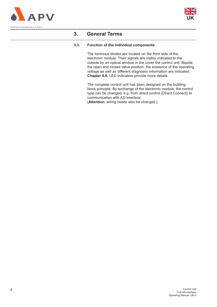



### **3. General Terms**

#### **3.3. Function of the individual components**

The luminous diodes are located on the front side of the electronic module. Their signals are visibly indicated to the outside by an optical window in the cover the control unit. Beside the open and closed valve position, the existence of the operating voltage as well as different diagnostic information are indicated. **Chapter 6.6.** LED indicators provide more details.

The complete control unit has been designed on the building block principle. By exchange of the electronic module, the control type can be changed, e.g. from direct control (Direct Connect) to communication with AS-Interface.

(**Attention**: wiring needs also be changed.)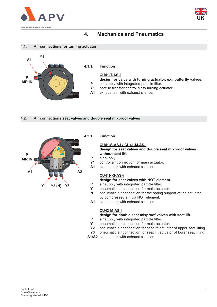



#### **4.1. Air connections for turning actuator**



**CU41-T-AS-i**

**design for valve with turning actuator, e.g. butterfly valves. P** air supply with integrated particle filter.

- **Y1** bore to transfer control air to turning actuator
- **A1** exhaust air, with exhaust silencer.
- **4.2. Air connections seat valves and double seat mixproof valves**



#### **4.2.1. Function**

#### **CU41-S-AS-i / CU41-M-AS-i**

**design for seat valves and double seat mixproof valves without seat lift.** 

- **P** air supply.
- **Y1** control air connection for main actuator.
- **A1** exhaust air, with exhaust silencer.

#### **CU41N-S-AS-i**

**design for seat valves with NOT element.**

- **P** air supply with integrated particle filter.
- **Y1** pneumatic air connection for main actuator.
- **N** pneumatic air connection for the spring support of the actuator by compressed air, via NOT element.
- **A1** exhaust air, with exhaust silencer.

#### **CU43-M-AS-i**

#### **design for double seat mixproof valves with seat lift.**

- **P** air supply with integrated particle filter.
- **Y1** pneumatic air connection for main actuator.
- **Y2** pneumatic air connection for seat lift actuator of upper seat lifting.
- **Y3** pneumatic air connection for seat lift actuator of lower seat lifting.

**A1/A2** exhaust air, with exhaust silencer.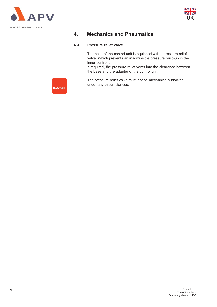



#### **4.3. Pressure relief valve**

The base of the control unit is equipped with a pressure relief valve. Which prevents an inadmissible pressure build-up in the inner control unit.

If required, the pressure relief vents into the clearance between the base and the adapter of the control unit.

The pressure relief valve must not be mechanically blocked under any circumstances.

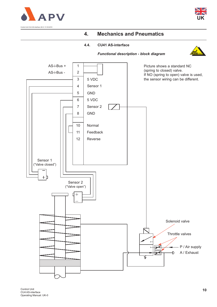



### **4.4. CU41 AS-interface**





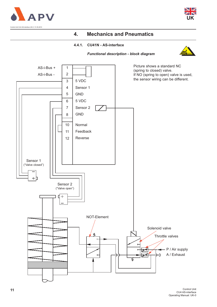



*Functional description - block diagram*

#### **4.4.1. CU41N - AS-interface**



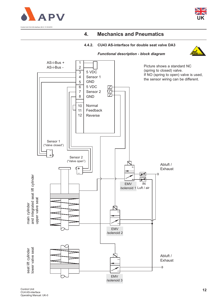



#### **4.4.2. CU43 AS-interface for double seat valve DA3**

*Functional description - block diagram*



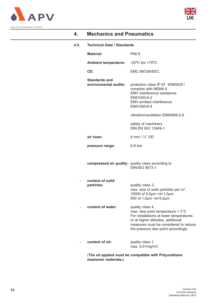



#### **4.5. Technical Data / Standards**

| <b>Material:</b>                              | PA6.6                                                                                                                                                                                                                 |
|-----------------------------------------------|-----------------------------------------------------------------------------------------------------------------------------------------------------------------------------------------------------------------------|
| <b>Ambient temperature:</b>                   | $-20^{\circ}$ C bis $+70^{\circ}$ C                                                                                                                                                                                   |
| CE:                                           | <b>EMC 89/336/EEC</b>                                                                                                                                                                                                 |
| <b>Standards and</b><br>environmental audits: | protection class IP 67 EN60529 /<br>complies with NEMA 6<br>EMV interference resistance<br>EN61000-6-2<br>EMV emitted interference<br>EN61000-6-4                                                                     |
|                                               | vibration/oscillation EN60068-2-6                                                                                                                                                                                     |
|                                               | safety of machinery<br><b>DIN EN ISO 13849-1</b>                                                                                                                                                                      |
| air hose:                                     | 6 mm / $\frac{1}{4}$ " OD                                                                                                                                                                                             |
| pressure range:                               | 6-8 bar                                                                                                                                                                                                               |
|                                               | compressed air quality: quality class according to<br><b>DIN/ISO 8573-1</b>                                                                                                                                           |
| content of solid<br>particles:                | quality class 3,<br>max. size of solid particles per m <sup>3</sup><br>10000 of 0,5µm <d<1,0µm<br>500 of 1,0µm <d<5,0µm< th=""></d<5,0µm<></d<1,0µm<br>                                                               |
| content of water:                             | quality class 4,<br>max. dew point temperature + 3°C<br>For installations at lower temperatures<br>or at higher altitudes, additional<br>measures must be considered to reduce<br>the pressure dew point accordingly. |
| content of oil:                               | quality class 1,<br>max. 0,01mg/m3                                                                                                                                                                                    |
|                                               |                                                                                                                                                                                                                       |

(**The oil applied must be compatible with Polyurethane elastomer materials.)**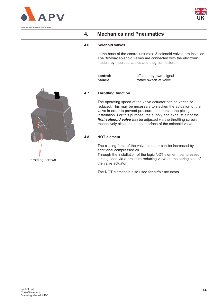



#### **4.6. Solenoid valves**

In the base of the control unit max. 3 solenoid valves are installed. The 3/2-way solenoid valves are connected with the electronic module by moulded cables and plug connectors.

| control: | effected by pwm-signal |
|----------|------------------------|
| handle:  | rotary switch at valve |



The operating speed of the valve actuator can be varied or reduced. This may be necessary to slacken the actuation of the valve in order to prevent pressure hammers in the piping installation. For this purpose, the supply and exhaust air of the *first solenoid valve* can be adjusted via the throttling screws respectively allocated in the interface of the solenoid valve.

#### **4.8. NOT element**

The closing force of the valve actuator can be increased by additional compressed air.

Through the installation of the logic NOT element, compressed air is guided via a pressure reducing valve on the spring side of the valve actuator.

The NOT element is also used for air/air actuators.

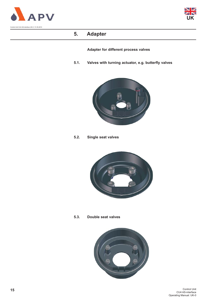



### **5. Adapter**

**Adapter for different process valves**

**5.1. Valves with turning actuator, e.g. butterfly valves**



**5.2. Single seat valves**



**5.3. Double seat valves**

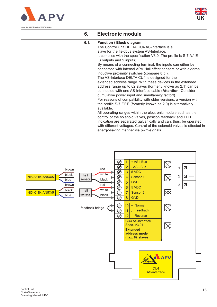



#### **6.1. Function / Block diagram**

The Control Unit DELTA CU4 AS-interface is a slave for the fieldbus system AS-Interface. It complies with the specification V3.0. The profile is S-7.A.\*.E (3 outputs and 2 inputs). By means of a connecting terminal, the inputs can either be connected with internal APV Hall effect sensors or with external inductive proximity switches (compare **6.5.**). The AS-Interface DELTA CU4 is designed for the extended address range. With these devices in the extended address range up to 62 slaves (formerly known as 2.1) can be connected with one AS-Interface cable (**Attention:** Consider cumulative power input and simultaneity factor!) For reasons of compatibility with older versions, a version with the profile S-7.F.F.F (formerly known as 2.0) is alternatively available.

All operating ranges within the electronic module such as the control of the solenoid valves, position feedback and LED indication are separated galvanically and can, thus, be operated with different voltages. Control of the solenoid valves is effected in energy-saving manner via pwm-signals.

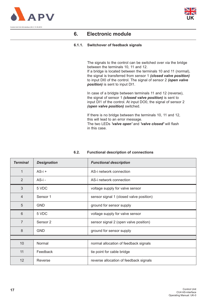



#### **6.1.1. Switchover of feedback signals**

The signals to the control can be switched over via the bridge between the terminals 10, 11 and 12.

If a bridge is located between the terminals 10 and 11 (normal), the signal is transferred from sensor 1 *(closed valve position)* to input DI0 of the control. The signal of sensor 2 *(open valve position)* is sent to input DI1.

In case of a bridgte between terminals 11 and 12 (reverse), the signal of sensor 1 *(closed valve position)* is sent to input DI1 of the control. At input DO0, the signal of sensor 2 *(open valve position)* switched.

If there is no bridge between the terminals 10, 11 and 12, this will lead to an error message. The two LEDs *'valve open'* and *'valve closed'* will flash in this case.

| <b>Terminal</b> | <b>Designation</b>  | <b>Functional description</b>           |  |
|-----------------|---------------------|-----------------------------------------|--|
| 1               | $AS-i +$            | AS-i network connection                 |  |
| 2               | AS-i -              | AS-i network connection                 |  |
| 3               | 5 VDC               | voltage supply for valve sensor         |  |
| $\overline{4}$  | Sensor <sub>1</sub> | sensor signal 1 (closed valve position) |  |
| 5               | <b>GND</b>          | ground for sensor supply                |  |
| 6               | 5 VDC               | voltage supply for valve sensor         |  |
| $\overline{7}$  | Sensor 2            | sensor signal 2 (open valve position)   |  |
| 8               | <b>GND</b>          | ground for sensor supply                |  |
|                 |                     |                                         |  |
| 10 <sup>°</sup> | Normal              | normal allocation of feedback signals   |  |
| 11              | Feedback            | tie point for cable bridge              |  |
| 12              | Reverse             | reverse allocation of feedback signals  |  |

#### **6.2. Functional description of connections**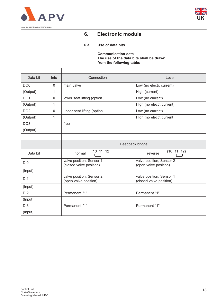



#### **6.3. Use of data bits**

**Communication data The use of the data bits shall be drawn from the following table:** 

| Data bit        | Info           | Connection                                          | Level                                               |
|-----------------|----------------|-----------------------------------------------------|-----------------------------------------------------|
| DO <sub>0</sub> | $\mathbf 0$    | main valve                                          | Low (no electr. current)                            |
| (Output)        | 1              |                                                     | High (current)                                      |
| DO <sub>1</sub> | $\overline{0}$ | lower seat lifting (option)                         | Low (no current)                                    |
| (Output)        | $\mathbf{1}$   |                                                     | High (no electr. current)                           |
| DO <sub>2</sub> | $\overline{0}$ | upper seat lifting (option                          | Low (no current)                                    |
| (Output)        | 1              |                                                     | High (no electr. current)                           |
| DO <sub>3</sub> |                | free                                                |                                                     |
| (Output)        |                |                                                     |                                                     |
|                 |                |                                                     |                                                     |
|                 |                | Feedback bridge                                     |                                                     |
| Data bit        |                | (10 11 12)<br>normal                                | (10 11 12)<br>reverse                               |
| DI <sub>0</sub> |                | valve position, Sensor 1<br>(closed valve position) | valve position, Sensor 2<br>(open valve position)   |
| (Input)         |                |                                                     |                                                     |
| D <sub>1</sub>  |                | valve position, Sensor 2<br>(open valve position)   | valve position, Sensor 1<br>(closed valve position) |
| (Input)         |                |                                                     |                                                     |
| DI2             |                | Permanent "1"                                       | Permanent "1"                                       |
| (Input)         |                |                                                     |                                                     |
| DI <sub>3</sub> |                | Permanent "1"                                       | Permanent "1"                                       |
| (Input)         |                |                                                     |                                                     |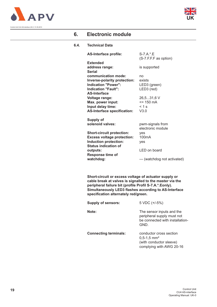



Control Unit CU4 AS-interface UK-0 / 31.05.2010

### **6. Electronic module**

#### **6.4. Technical Data**

| <b>AS-Interface profile:</b>       | S-7.A.*.E                    |
|------------------------------------|------------------------------|
|                                    | (S-7.F.F.F as option)        |
| <b>Extended</b>                    |                              |
| address range:                     | is supported                 |
| <b>Serial</b>                      |                              |
| communication mode:                | no                           |
| Inverse-polarity protection:       | exists                       |
| <b>Indication "Power":</b>         | LED3 (green)                 |
| <b>Indication "Fault":</b>         | LED3 (red)                   |
| <b>AS-Interface</b>                |                              |
| <b>Voltage range:</b>              | 26,531,6 V                   |
| Max. power input:                  | $= 150 \text{ mA}$           |
| Input delay time:                  | $< 1$ s                      |
| <b>AS-Interface specification:</b> | V3.0                         |
|                                    |                              |
| Supply of                          |                              |
| solenoid valves:                   | pwm-signals from             |
|                                    | electronic module            |
| <b>Short-circuit protection:</b>   | yes                          |
| <b>Excess voltage protection:</b>  | 100mA                        |
| Induction protection:              | ves                          |
| <b>Status indication of</b>        |                              |
| outputs:                           | $LED$ on board               |
| <b>Response time of</b>            |                              |
| watchdog:                          | --- (watchdog not activated) |

**Short-circuit or excess voltage of actuator supply or cable break at valves is signalled to the master via the peripheral failure bit (profile Profil S-7.A.\*.Eonly). Simultaneously LED3 flashes according to AS-Interface specification alternately red/green.**

| <b>Supply of sensors:</b>    | $5 \, \text{VDC}$ (+/-5%)                                                                                     |
|------------------------------|---------------------------------------------------------------------------------------------------------------|
| Note:                        | The sensor inputs and the<br>peripheral supply must not<br>be connected with installation-<br>GND.            |
| <b>Connecting terminals:</b> | conductor cross section<br>$0.5 - 1.5$ mm <sup>2</sup><br>(with conductor sleeve)<br>complying with AWG 20-16 |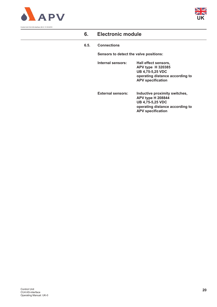



#### **6.5. Connections**

**Sensors to detect the valve positions:**

| Internal sensors: | Hall effect sensors,            |
|-------------------|---------------------------------|
|                   | <b>APV type H 320385</b>        |
|                   | <b>UB 4,75-5,25 VDC</b>         |
|                   | operating distance according to |
|                   | <b>APV</b> specification        |
|                   |                                 |

**External sensors: Inductive proximity switches, APV type H 208844 UB 4,75-5,25 VDC operating distance according to APV specification**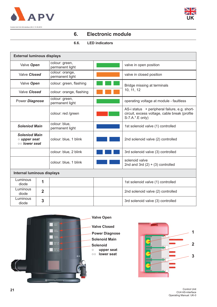



### **6.6. LED indicators**

| <b>External luminous displays</b>                           |                |                                    |  |                                                                                                                   |
|-------------------------------------------------------------|----------------|------------------------------------|--|-------------------------------------------------------------------------------------------------------------------|
| Valve Open                                                  |                | colour: green,<br>permanent light  |  | valve in open position                                                                                            |
| Valve Closed                                                |                | colour: orange,<br>permanent light |  | valve in closed position                                                                                          |
| Valve Open                                                  |                | colour: green, flashing            |  | Bridge missing at terminals                                                                                       |
| Valve Closed                                                |                | colour: orange, flashing           |  | 10, 11, 12                                                                                                        |
| Power Diagnose                                              |                | colour: green,<br>permanent light  |  | operating voltage at module - faultless                                                                           |
|                                                             |                | colour: red /green                 |  | AS-i status + peripheral failure, e.g. short-<br>circuit, excess voltage, cable break (profile<br>S-7.A.*.E only) |
| <b>Soleniod Main</b>                                        |                | colour: blue,<br>permanent light   |  | 1st solenoid valve (1) controlled                                                                                 |
| <b>Soleniod Main</b><br>$\circ$ upper seat<br>oo lower seat |                | colour: blue, 1 blink              |  | 2nd solenoid valve (2) controlled                                                                                 |
|                                                             |                | colour: blue, 2 blink              |  | 3rd solenoid valve (3) controlled                                                                                 |
|                                                             |                | colour: blue, 1 blink              |  | solenoid valve<br>2nd and 3rd $(2) + (3)$ controlled                                                              |
| <b>Internal luminous displays</b>                           |                |                                    |  |                                                                                                                   |
| Luminous<br>diode                                           | 1              |                                    |  | 1st solenoid valve (1) controlled                                                                                 |
| Luminous<br>diode                                           | $\overline{2}$ |                                    |  | 2nd solenoid valve (2) controlled                                                                                 |
| Luminous<br>diode                                           | 3              |                                    |  | 3rd solenoid valve (3) controlled                                                                                 |



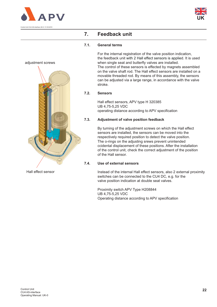





### **7. Feedback unit**

#### **7.1. General terms**

For the internal registration of the valve position indication, the feedback unit with 2 Hall effect sensors is applied. It is used when single seat and butterfly valves are installed. The control of these sensors is effected by magnets assembled on the valve shaft rod. The Hall effect sensors are installed on a movable threaded rod. By means of this assembly, the sensors can be adjusted via a large range, in accordance with the valve stroke.

#### **7.2. Sensors**

Hall effect sensors, APV type H 320385 UB 4,75-5,25 VDC operating distance according to APV specification

#### **7.3. Adjustment of valve position feedback**

By turning of the adjustment screws on which the Hall effect sensors are installed, the sensors can be moved into the respectively required position to detect the valve position. The o-rings on the adjusting srews prevent unintended ccidental displacement of these positions. After the installation of the control unit, check the correct adjustment of the position of the Hall sensor.

#### **7.4. Use of external sensors**

Instead of the internal Hall effect sensors, also 2 external proximity switches can be connected to the CU4 DC, e.g. for the valve position indication at double seat valves.

Proximity switch APV Type H208844 UB 4,75-5,25 VDC Operating distance according to APV specification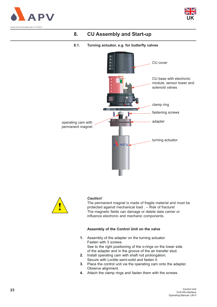



#### **8.1. Turning actuator, e.g. for butterfly valves**





#### *Caution!*

The permanent magnet is made of fragile material and must be protected against mechanical load . – Risk of fracture! The magnetic fields can damage or delete data carrier or influence electronic and mechanic components.

#### **Assembly of the Control Unit on the valve**

- **1.** Assembly of the adapter on the turning actuator. Fasten with 3 screws. See to the right positioning of the o-rings on the lower side of the adapter and in the groove of the air transfer stud.
- **2.** Install operating cam with shaft rod prolongation. Secure with Loctite semi-solid and fasten it.
- **3.** Place the control unit via the operating cam onto the adapter. Observe alignment.
- **4.** Attach the clamp rings and fasten them with the screws.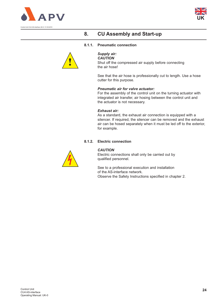



#### **8.1.1. Pneumatic connection**



*Supply air:*

*CAUTION*  Shut off the compressed air supply before connecting the air hose!

See that the air hose is professionally cut to length. Use a hose cutter for this purpose.

#### *Pneumatic air for valve actuator:*

For the assembly of the control unit on the turning actuator with integrated air transfer, air hosing between the control unit and the actuator is not necessary.

#### *Exhaust air:*

As a standard, the exhaust air connection is equipped with a silencer. If required, the silencer can be removed and the exhaust air can be hosed separately when it must be led off to the exterior, for example.

#### **8.1.2. Electric connection**



#### *CAUTION*

Electric connections shall only be carried out by qualified personnel.

See to a professional execution and installation of the AS-interface network. Observe the Safety Instructions specified in chapter 2.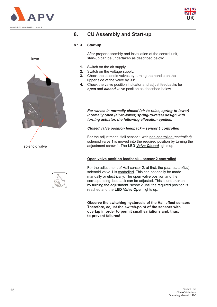





#### **8.1.3. Start-up**

After proper assembly and installation of the control unit, start-up can be undertaken as described below:

- **1.** Switch on the air supply.
- **2.** Switch on the voltage supply.
- **3.** Check the solenoid valves by turning the handle on the upper side of the valve by 90°.
- **4.** Check the valve position indicator and adjust feedbacks for *open* and *closed* valve position as described below.

*For valves in normally closed (air-to-raise, spring-to-lower) /normally open (air-to-lower, spring-to-raise) design with turning actuator, the following allocation applies:*

#### *Closed valve position feedback – sensor 1 controlled*

For the adjustment, Hall sensor 1 with non-controlled *(controlled)* solenoid valve 1 is moved into the required position by turning the adjustment screw 1. The **LED** *Valve Closed* lights up.

#### **Open valve position feedback – sensor 2 controlled**

For the adjustment of Hall sensor 2, at first, the *(non-controlled)* solenoid valve 1 is controlled. This can optionally be made manually or electrically. The open valve position and the corresponding feedback can be adjusted. This is undertaken by turning the adjustment screw 2 until the required position is reached and the **LED** *Valve Ope***n** lights up.

**Observe the switching hysteresis of the Hall effect sensors! Therefore, adjust the switch-point of the sensors with overlap in order to permit small variations and, thus, to prevent failures!**

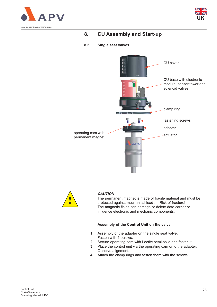



#### **8.2. Single seat valves**





#### *CAUTION*

The permanent magnet is made of fragile material and must be protected against mechanical load . – Risk of fracture! The magnetic fields can damage or delete data carrier or influence electronic and mechanic components.

#### **Assembly of the Control Unit on the valve**

- **1.** Assembly of the adapter on the single seat valve. Fasten with 4 screws.
- **2.** Secure operating cam with Loctite semi-solid and fasten it.
- **3.** Place the control unit via the operating cam onto the adapter. Observe alignment.
- **4.** Attach the clamp rings and fasten them with the screws.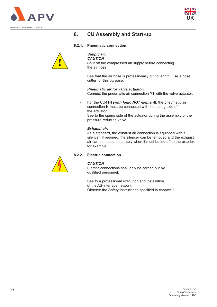



#### **8.2.1. Pneumatic connection**



### *Supply air:*

*CAUTION* 

Shut off the compressed air supply before connecting the air hose!

See that the air hose is professionally cut to length. Use a hose cutter for this purpose.

*Pneumatic air for valve actuator:* Connect the pneumatic air connection **Y1** with the valve actuator.

- For the CU41N *(with logic NOT element)*, the pneumatic air connection **N** must be connected with the spring side of the actuator. See to the spring side of the actuator during the assembly of the pressure-reducing valve.

#### *Exhaust air:*

As a standard, the exhaust air connection is equipped with a silencer. If required, the silencer can be removed and the exhaust air can be hosed separately when it must be led off to the exterior, for example.

#### **8.2.2. Electric connection**



#### *CAUTION*

Electric connections shall only be carried out by qualified personnel.

See to a professional execution and installation of the AS-interface network. Observe the Safety Instructions specified in chapter 2.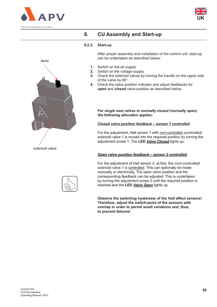





#### **8.2.3. Start-up**

After proper assembly and installation of the control unit, start-up can be undertaken as described below:

- **1.** Switch on the air supply.
- **2.** Switch on the voltage supply.
- **3.** Check the solenoid valves by turning the handle on the upper side of the valve by 90°.
- **4.** Check the valve position indicator and adjust feedbacks for *open* and *closed* valve position as described below.

*For single seat valves in normally closed (normally open) the following allocation applies:*

#### *Closed valve position feedback – sensor 1 controlled*

For the adjustment, Hall sensor 1 with non-controlled *(controlled)* solenoid valve 1 is moved into the required position by turning the adjustment screw 1. The **LED** *Valve Closed* lights up.

#### *Open valve position feedback – sensor 2 controlled*

For the adjustment of Hall sensor 2, at first, the *(non-controlled)* solenoid valve 1 is controlled. This can optionally be made manually or electrically. The open valve position and the corresponding feedback can be adjusted. This is undertaken by turning the adjustment screw 2 until the required position is reached and the **LED** *Valve Open* lights up.

**Observe the switching hysteresis of the Hall effect sensors! Therefore, adjust the switch-point of the sensors with overlap in order to permit small variations and, thus, to prevent failures!**

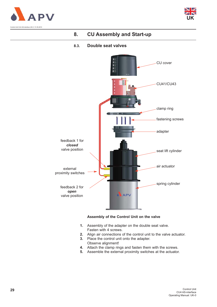



#### **8.3. Double seat valves**



#### **Assembly of the Control Unit on the valve**

- **1.** Assembly of the adapter on the double seat valve. Fasten with 4 screws.
- **2.** Align air connections of the control unit to the valve actuator.
- **3.** Place the control unit onto the adapter. Observe alignment!
- **4.** Attach the clamp rings and fasten them with the screws.
- **5.** Assemble the external proximity switches at the actuator.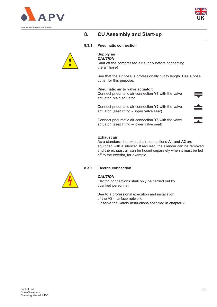



#### **8.3.1. Pneumatic connection**



#### **Supply air:**

*CAUTION*  Shut off the compressed air supply before connecting the air hose!

See that the air hose is professionally cut to length. Use a hose cutter for this purpose.

#### **Pneumatic air to valve actuator:**

Connect pneumatic air connection **Y1** with the valve actuator. Main actuator

Connect pneumatic air connection **Y2** with the valve actuator. (seat lifting - upper valve seat)

Connect pneumatic air connection **Y3** with the valve actuator. (seat lifting – lower valve seat)

#### **Exhaust air:**

As a standard, the exhaust air connections **A1** and **A2** are equipped with a silencer. If required, the silencer can be removed and the exhaust air can be hosed separately when it must be led off to the exterior, for example.

#### **8.3.2. Electric connection**



#### *CAUTION*

Electric connections shall only be carried out by qualified personnel.

See to a professional execution and installation of the AS-interface network. Observe the Safety Instructions specified in chapter 2.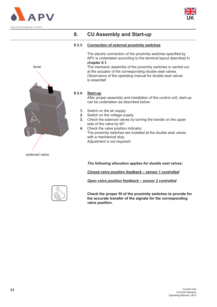





#### **8.3.3. Connection of external proximity switches**

The electric connection of the proximity switches specified by APV is undertaken according to the terminal layout described in **chapter 6.1.**

The mechanic assembly of the proximity switches is carried out at the actuator of the corresponding double seat valves. Observance of the operating manual for double seat valves is essential!

#### **8.3.4. Start-up**

After proper assembly and installation of the control unit, start-up can be undertaken as described below:

- **1.** Switch on the air supply.
- **2.** Switch on the voltage supply.
- **3.** Check the solenoid valves by turning the handle on the upper side of the valve by 90°.
- **4.** Check the valve position indicator. The proximity switches are installed at the double seat valves with a mechanical stop. Adjustment is not required!

*The following allocation applies for double seat valves:*

*Closed valve position feedback – sensor 1 controlled*

*Open valve position feedback – sensor 2 controlled*



**Check the proper fit of the proximity switches to provide for the accurate transfer of the signals for the corresponding valve position.**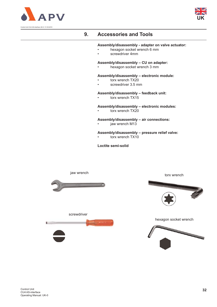



### **9. Accessories and Tools**

#### **Assembly/disassembly - adapter on valve actuator:**

- hexagon socket wrench 6 mm
- screwdriver 4mm

#### **Assembly/disassembly – CU on adapter:**

• hexagon socket wrench 3 mm

#### **Assembly/disassembly – electronic module:**

- torx wrench TX20
- screwdriver 3.5 mm

#### **Assembly/disassembly – feedback unit:**

torx wrench TX15

#### **Assembly/disassembly – electronic modules:**

torx wrench TX20

#### **Assembly/disassembly – air connections:**

jaw wrench M13

#### **Assembly/disassembly – pressure relief valve:**

torx wrench TX10

**Loctite semi-solid**

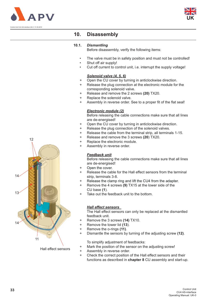



### **10. Disassembly**

#### **10.1.** *Dismantling*

Before disassembly, verify the following items:

- The valve must be in safety position and must not be controlled!
- Shut off air supply!
- Cut off current to control unit, i.e. interrupt the supply voltage!

#### *Solenoid valve (4, 5, 6)*

- + Open the CU cover by turning in anticlockwise direction.
- + Release the plug connection at the electronic module for the corresponding solenoid valve.
- + Release and remove the 2 screws **(20)** TX20.
- + Replace the solenoid valve.
- + Assembly in reverse order. See to a proper fit of the flat seal!

#### *Electronic module (2)*

Before releasing the cable connections make sure that all lines are de-energised!

- + Open the CU cover by turning in anticlockwise direction.
- + Release the plug connection of the solenoid valves.
- + Release the cable from the terminal strip, all terminals 1-15.
- + Release and remove the 3 screws **(20**) TX20.
- + Replace the electronic module.
- + Assembly in reverse order.

#### *Feedback unit*

Before releasing the cable connections make sure that all lines are de-energised!

- + Open the cover.
- + Release the cable for the Hall effect sensors from the terminal strip, terminals 3-8.
- Release the clamp ring and lift the CU4 from the adapter.
- Remove the 4 screws (9) TX15 at the lower side of the CU base **(1**).
- Take out the feedback unit to the bottom.

#### *Hall effect sensors*

The Hall effect sensors can only be replaced at the dismantled feedback unit.

- + Remove the 3 screws **(14)** TX10.
- + Remove the tower lid **(13**).
- + Remove the o-rings **(11)**.
- + Dismantle the sensors by turning of the adjusting screw **(12)**.

To simplify adjustment of feedbacks:

- + Mark the position of the sensor on the adjusting screw!
- + Assembly in reverse order.
- + Check the correct position of the Hall effect sensors and their functions as described in **chapter 8** CU assembly and start-up.



Hall effect sensors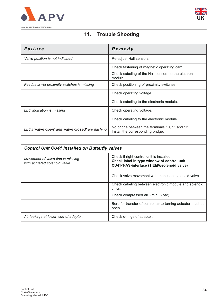



### **11. Trouble Shooting**

| Failure                                           | Remedy                                                                              |
|---------------------------------------------------|-------------------------------------------------------------------------------------|
| Valve position is not indicated.                  | Re-adjust Hall sensors.                                                             |
|                                                   | Check fastening of magnetic operating cam.                                          |
|                                                   | Check cabeling of the Hall sensors to the electronic<br>module.                     |
| Feedback via proximity switches is missing        | Check positioning of proximity switches.                                            |
|                                                   | Check operating voltage.                                                            |
|                                                   | Check cabeling to the electronic module.                                            |
| LED indication is missing                         | Check operating voltage.                                                            |
|                                                   | Check cabeling to the electronic module.                                            |
| LEDs 'valve open' and 'valve closed' are flashing | No bridge between the terminals 10, 11 and 12.<br>Install the corresponding bridge. |
|                                                   |                                                                                     |

## *Control Unit CU41 installed on Butterfly valves*

| Movement of valve flap is missing<br>with actuated solenoid valve. | Check if right control unit is installed.<br>Check label in type window of control unit:<br>CU41-T-AS-interface (1 EMV/solenoid valve) |
|--------------------------------------------------------------------|----------------------------------------------------------------------------------------------------------------------------------------|
|                                                                    | Check valve movement with manual at solenoid valve.                                                                                    |
|                                                                    | Check cabeling between electronic module and solenoid<br>valve.                                                                        |
|                                                                    | Check compressed air (min. 6 bar).                                                                                                     |
|                                                                    | Bore for transfer of control air to turning actuator must be<br>open.                                                                  |
| Air leakage at lower side of adapter.                              | Check o-rings of adapter.                                                                                                              |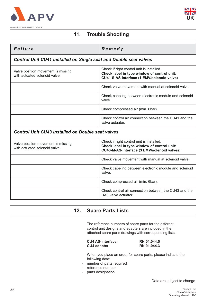



### **11. Trouble Shooting**

| Failure                                                                  | Remedy                                                                                                                                  |
|--------------------------------------------------------------------------|-----------------------------------------------------------------------------------------------------------------------------------------|
| <b>Control Unit CU41 installed on Single seat and Double seat valves</b> |                                                                                                                                         |
| Valve position movement is missing<br>with actuated solenoid valve.      | Check if right control unit is installed.<br>Check label in type window of control unit:<br>CU41-S-AS-interface (1 EMV/solenoid valve)  |
|                                                                          | Check valve movement with manual at solenoid valve.                                                                                     |
|                                                                          | Check cabeling between electronic module and solenoid<br>valve.                                                                         |
|                                                                          | Check compressed air (min. 6bar).                                                                                                       |
| Check control air connection between the CU41 and the<br>valve actuator. |                                                                                                                                         |
| <b>Control Unit CU43 installed on Double seat valves</b>                 |                                                                                                                                         |
| Valve position movement is missing<br>with actuated solenoid valve.      | Check if right control unit is installed.<br>Check label in type window of control unit:<br>CU43-M-AS-interface (3 EMV/solenoid valves) |
|                                                                          | Check valve movement with manual at solenoid valve.                                                                                     |
|                                                                          | Check cabeling between electronic module and solenoid<br>valve.                                                                         |
|                                                                          | Check compressed air (min. 6bar).                                                                                                       |

### **12. Spare Parts Lists**

The reference numbers of spare parts for the different control unit designs and adapters are included in the attached spare parts drawings with corresponding lists.

#### **CU4 AS-interface** RN 01.044.5<br> **CU4 adapter** RN 01.044.3 **CU4 adapter**

DA3 valve actuator.

Check control air connection between the CU43 and the

When you place an order for spare parts, please indicate the following data:

- number of parts required
- reference number
- parts designation

Data are subject to change.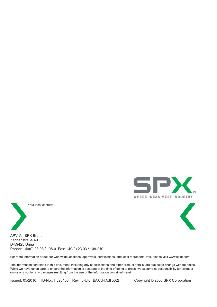



Your local contact:



APV, An SPX Brand Zechenstraße 49 D-59425 Unna Phone: +49(0) 23 03 / 108-0 Fax: +49(0) 23 03 / 108-210

For more information about our worldwide locations, approvals, certifications, and local representatives, please visit www.spxft.com.

The information contained in this document, including any specifications and other product details, are subject to change without notice. While we have taken care to ensure the information is accurate at the time of going to press, we assume no responsibility for errors or omissions nor for any damages resulting from the use of the information contained herein.

Issued: 05/2010 ID-No.: H326406 Rev.: 0-UK BA CU4 ASI 0002 Copyright © 2008 SPX Corporation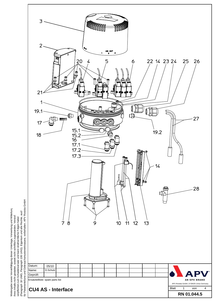

(Paragraph 18 UWG, Paragraph 106 UrhG). Eigentum und alle Rechte, auch<br>für Patenterteilung und Gebrauchsmustereintragung, vorbehalten. APV Rosista GmbH Weitergabe sowie Vervielfältigung dieser Unterlage, Verwertung und Mitteilung<br>ihres Inhalts nicht gestattet, soweit nicht schriftlich zugestanden. Verstoß Weitergabe sowie Vervielfältigung dieser Unterlage, Verwertung und Mitteilung (Paragraph 18 UWG, Paragraph 106 UrhG). Eigentum und alle Rechte, auch ihres Inhalts nicht gestattet, soweit nicht schriftlich zugestanden. Verstoß verpflichtet zum Schadensersatz und kann strafrechtliche Folgen haber verpflichtet zum Schadensersatz und kann strafrechtliche Folgen haben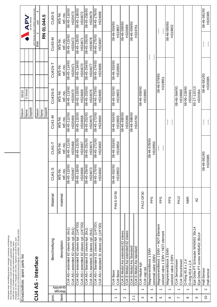|                          |                          | (Paragraph 18 UWG, Paragraph 106 UrfiG). Eigentum und alle Rechte, auch<br>für Patenterteilung und Gebrauchsmustereintragung, vorbehalten. APV Rosista GmbH.<br>Weitergabe sowie Vervielfältigung dieser Unterlage, Verwertung und Mitteilung<br>ihres Inhalts nicht gestattet, soweit nicht schriftlich zugestanden. Verstoß<br>verpflichtet zum Schadensersatz und kann strafrechtliche Folgen haben |             |                         |                         |                                       |                         |                               |                            |                                                    |
|--------------------------|--------------------------|--------------------------------------------------------------------------------------------------------------------------------------------------------------------------------------------------------------------------------------------------------------------------------------------------------------------------------------------------------------------------------------------------------|-------------|-------------------------|-------------------------|---------------------------------------|-------------------------|-------------------------------|----------------------------|----------------------------------------------------|
|                          |                          | Ersatzteilliste: spare parts list                                                                                                                                                                                                                                                                                                                                                                      |             |                         |                         | Datum:                                | 05/10                   |                               |                            |                                                    |
|                          |                          |                                                                                                                                                                                                                                                                                                                                                                                                        |             |                         |                         | Gepruft:<br>Name:                     | D.Schulz                |                               |                            | <b>APV</b><br>AN SPX BRAND                         |
|                          |                          | CU4 AS - Interface                                                                                                                                                                                                                                                                                                                                                                                     |             |                         |                         | Datum:                                |                         |                               | $\mathbf{\Omega}$<br>Blatt | APV Rosista GmbH, D-59425 Unna Germany<br>4<br>yon |
|                          |                          |                                                                                                                                                                                                                                                                                                                                                                                                        |             |                         |                         | Name:                                 |                         |                               |                            | RN 01.044.5                                        |
| pos.                     |                          | Beschreibung                                                                                                                                                                                                                                                                                                                                                                                           | Material    | CU41-S                  | CU41-T                  | Geprüft:<br><b>CU41-M</b>             | CU41N-S                 | CU41N-T                       | CU43-M                     | CU43-S                                             |
|                          | quantity<br>Menge        |                                                                                                                                                                                                                                                                                                                                                                                                        |             | Ŀ<br>W <sub>S-Ni</sub>  | WS-Nr.                  | W-S-Nr.                               | WS-Nr.                  | WS-Nr.                        | WS-Nr.                     | WS-Nr.                                             |
| item                     |                          | description                                                                                                                                                                                                                                                                                                                                                                                            | material    | ref.-no.                | ref.-no.                | ref.-no.                              | ref.-no.                | ref.-no.                      | ret.-no.                   | ref.-no.                                           |
|                          |                          | CU4 AS-i extended 62 slaves cpl. (6x1)<br>CU4 AS-i extended 62 slaves kpl. (6x1)                                                                                                                                                                                                                                                                                                                       |             | 08-45-110/93<br>H320467 | 08-45-111/93<br>H320468 | 08-45-112/93<br>H320469               | 08-45-113/93<br>H320470 | 08-45-114/93<br>H320471       | 08-45-115/93<br>H320472    | 08-45-116/93<br>H320473                            |
|                          |                          | CU4 AS-i extended 62 slaves kpl. (1/4"OD)                                                                                                                                                                                                                                                                                                                                                              |             | 08-45-130/93            | 08-45-131/93            | 08-45-132/93                          | 08-45-133/93            | 08-45-134/93                  | 08-45-135/93               | 08-45-136/93                                       |
|                          |                          | CU4 AS-i extended 62 slaves cpl. (1/4"OD)                                                                                                                                                                                                                                                                                                                                                              |             | H324666                 | H324667                 | H324668                               | H324669                 | H324670                       | H324671                    | H324672                                            |
|                          |                          | CU4 AS-i Standard 31 slaves kpl. (6x1)                                                                                                                                                                                                                                                                                                                                                                 |             | 08-45-250/93            | 08-45-251/93            | 08-45-252/93                          | 08-45-253/93            | 08-45-254/93                  | 08-45-255/93               | 08-45-256/93                                       |
|                          |                          | CU4 AS-i standard 31 slaves cpl. (6x1)                                                                                                                                                                                                                                                                                                                                                                 |             | H324673                 | H324674                 | H324675                               | H324676                 | H324677                       | H324678                    | H324679                                            |
|                          |                          | CU4 AS-i Standard 31 slaves kpl. (1/4"OD)                                                                                                                                                                                                                                                                                                                                                              |             | 08-45-270/93            | 08-45-271/93            | 08-45-272/93                          | 08-45-273/93            | 08-45-274/93                  | 08-45-275/93               | 08-45-276/93                                       |
|                          |                          | CU4 AS-i standard 31 slaves cpl. (1/4"OD)                                                                                                                                                                                                                                                                                                                                                              |             | H324682                 | H324683                 | H324684                               | H324685                 | H324686                       | H324687                    | H324688                                            |
|                          |                          |                                                                                                                                                                                                                                                                                                                                                                                                        |             |                         |                         |                                       |                         |                               |                            |                                                    |
| $\overline{\phantom{0}}$ | $\overline{\phantom{0}}$ | CU4 Base                                                                                                                                                                                                                                                                                                                                                                                               | PA6.6 GF30  | 08-46-552/93<br>H319853 | 08-46-553/93<br>H319854 | 08-46-554/93                          | 08-46-552/93            | 08-46-558/93<br>H319854       | 08-46-556/93               |                                                    |
|                          |                          | CU4 Base                                                                                                                                                                                                                                                                                                                                                                                               |             |                         |                         | H319855                               | H319853                 |                               | H319857                    |                                                    |
| $\mathbf{\Omega}$        | $\overline{\phantom{0}}$ | CU4 E-Modul Asi extended 62 slaves<br>CU4 E-Modul Asi extended 62 slaves                                                                                                                                                                                                                                                                                                                               |             |                         |                         | 08-46-595/93<br>H320388               |                         |                               | 66/965-94-80<br>H320389    |                                                    |
| $\overline{21}$          |                          | CU4 E-Modul Asi Standard                                                                                                                                                                                                                                                                                                                                                                               |             |                         |                         | 08-46-598/93                          |                         |                               | 08-46-599/93               |                                                    |
|                          |                          | CU4 E-Modul Asi standard                                                                                                                                                                                                                                                                                                                                                                               |             |                         |                         | H324760                               |                         |                               | H324761                    |                                                    |
| S                        | $\overline{\phantom{0}}$ | CU4 Haube kpl.<br>CU4 cap cpl.                                                                                                                                                                                                                                                                                                                                                                         | PA12 GF30   |                         |                         |                                       | 08-46-559/93<br>H319860 |                               |                            |                                                    |
| 4                        | $\overline{\phantom{0}}$ | Magnetventilblock 1 EMV<br>soninoid valve 1EMV                                                                                                                                                                                                                                                                                                                                                         | PPS         |                         | 66/8/2-94-80<br>H319950 |                                       |                         | $\mathbf{I}$<br>$\frac{1}{2}$ |                            |                                                    |
| Ю                        | $\overline{\phantom{0}}$ | Magnetventilblock 1 EMV + NOT-Element<br>solinoid valve 1 EMV + NOT-element                                                                                                                                                                                                                                                                                                                            | PPS         |                         | L<br>I                  |                                       | 08-46-579/93<br>H319951 |                               | $\mathbf{I}$               |                                                    |
| ဖ                        | $\overline{\phantom{0}}$ | Magnetventilblock 3 EMV<br>solinoid valve 3 EMV                                                                                                                                                                                                                                                                                                                                                        | <b>Sdd</b>  |                         |                         | $\mathbf{I}$<br>$\mathbf{\mathbf{I}}$ |                         |                               | 66/085-94-80<br>H319952    |                                                    |
| N                        | $\overline{\phantom{0}}$ | CU4 Sensortower                                                                                                                                                                                                                                                                                                                                                                                        | <b>PA12</b> |                         |                         |                                       | 08-46-564/93            |                               |                            |                                                    |
|                          |                          | CU4 Sensortower                                                                                                                                                                                                                                                                                                                                                                                        |             |                         |                         |                                       | H319868                 |                               |                            |                                                    |
| $^{\circ}$               | $\overline{\phantom{0}}$ | O-Ring 45,6 x 2,4<br>O-ring 45,6 x 2,4                                                                                                                                                                                                                                                                                                                                                                 | <b>NBR</b>  |                         |                         |                                       | 58-06-218/83<br>H320401 |                               |                            |                                                    |
| တ                        | 4                        | Ejot Delta PT Schraube WN5452 35x14<br>Ejot Delta PT screw WN5452 35x14                                                                                                                                                                                                                                                                                                                                | $\lambda$ 2 |                         |                         |                                       | 65-17-122/13<br>H320364 |                               |                            |                                                    |
| $\overline{C}$           | $\sim$                   | Hall-Sensor<br>Hall-sensor                                                                                                                                                                                                                                                                                                                                                                             |             | H320385                 | 86/185-94-80            | $\frac{1}{1}$<br>$\frac{1}{2}$        | H320385                 | 08-46-581/93                  | $\vdots$                   | 08-46-581/93<br>H320385                            |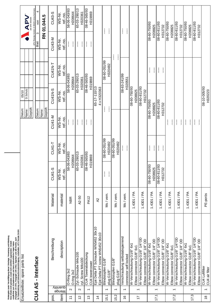|                |                          | (Paragraph 18 UWG, Paragraph 106 UrhG). Eigentum und alle Rechte, auch<br>für Patenterteilung und Gebrauchsmustereintragung, vorbehalten. APV Rosista GmbH.<br>Weitergabe sowie Vervielfältigung dieser Unterlage, Verwertung und Mitteilung<br>ihres Inhalts nicht gestattet, soweit nicht schriftlich zugestanden. Verstoß<br>verpflichtet zum Schadensersatz und kann strafrechtliche Folgen haben |             |                              |                                        |                                                                 |                              |                                                |                                                                                                                                                                                                                                                                                                                                                                                       |                                                        |
|----------------|--------------------------|-------------------------------------------------------------------------------------------------------------------------------------------------------------------------------------------------------------------------------------------------------------------------------------------------------------------------------------------------------------------------------------------------------|-------------|------------------------------|----------------------------------------|-----------------------------------------------------------------|------------------------------|------------------------------------------------|---------------------------------------------------------------------------------------------------------------------------------------------------------------------------------------------------------------------------------------------------------------------------------------------------------------------------------------------------------------------------------------|--------------------------------------------------------|
|                |                          | Ersatzteilliste: spare parts list                                                                                                                                                                                                                                                                                                                                                                     |             |                              |                                        | Datum:<br>Name:                                                 | D.Schulz<br>05/10            |                                                |                                                                                                                                                                                                                                                                                                                                                                                       | APV                                                    |
|                |                          |                                                                                                                                                                                                                                                                                                                                                                                                       |             |                              |                                        | Gepruft:                                                        |                              |                                                |                                                                                                                                                                                                                                                                                                                                                                                       | APV Rosista GmbH, D-59425 Unna Germany<br>AN SPX BRAND |
|                |                          | CU4 AS - Interface                                                                                                                                                                                                                                                                                                                                                                                    |             |                              |                                        | Datum:                                                          |                              |                                                | S<br>Blatt                                                                                                                                                                                                                                                                                                                                                                            | 4<br>yon                                               |
|                |                          |                                                                                                                                                                                                                                                                                                                                                                                                       |             |                              |                                        | Geprüft:<br>Name:                                               |                              |                                                |                                                                                                                                                                                                                                                                                                                                                                                       | RN 01.044.5                                            |
| pos.           |                          | Beschreibung                                                                                                                                                                                                                                                                                                                                                                                          | Material    | CU41-S                       | CU41-T                                 | <b>CU41-M</b>                                                   | <b>CU41N-S</b>               | CU41N-T                                        | <b>CU43-M</b>                                                                                                                                                                                                                                                                                                                                                                         | CU43-S                                                 |
| item           | quauțity<br>Menge        | description                                                                                                                                                                                                                                                                                                                                                                                           | material    | W-S-Nr<br>ref.-no            | WS-Nr.<br>ref.-no.                     | WS-Nr.<br>ref.-no.                                              | WS-Nr.<br>ref.-no.           | WS-Nr.<br>ref.-no.                             | WS-Nr.<br>ref.-no.                                                                                                                                                                                                                                                                                                                                                                    | WS-Nr.<br>ref.-no.                                     |
| $\overline{1}$ | $\sim$                   | O-Ring 3x2<br>O-ring 3x2                                                                                                                                                                                                                                                                                                                                                                              | NBR         |                              | 58-06-043/83<br>H208644                | $\mathbb{I}$<br>$\mathbf{I}$                                    |                              | 58-06-043/83<br>H208644                        | $\mathbf{I}$<br>ł                                                                                                                                                                                                                                                                                                                                                                     | 58-06-043/83<br>H208644                                |
| $\frac{2}{3}$  | $\sim$                   | Zyl.-Schraube M4x100<br>cyl. Screw M4x100                                                                                                                                                                                                                                                                                                                                                             | A2-50       |                              | 65-03-290/13<br>H320361                | $\mathcal{I}$<br>$\mathbf{I}% _{0}\left( \mathbf{I}_{1}\right)$ |                              | 65-03-290/13<br>H320361                        | $\mathbf{I}$<br>$\frac{1}{2}$                                                                                                                                                                                                                                                                                                                                                         | 65-03-290/13<br>H320361                                |
| $\frac{3}{2}$  | $\overline{\phantom{0}}$ | CU4 Towerabdeckung<br>CU4 towercower                                                                                                                                                                                                                                                                                                                                                                  | <b>PA12</b> |                              | 08-46-565/93<br>H319869                | $\mathbf{I}$<br>ł                                               |                              | 08-46-565/93<br>H319869                        | $\mathbf{I}$<br>$\mathbf{\mathbf{I}}$                                                                                                                                                                                                                                                                                                                                                 | 08-46-565/93<br>H319869                                |
| $\frac{4}{4}$  |                          | Ejot Delta PT Schraube WN5452 30x10<br>Ejot Delta PT screw WN5452 30x10                                                                                                                                                                                                                                                                                                                               | $\lambda$   |                              |                                        |                                                                 | 65-17-110/13<br>4 x H320363  |                                                |                                                                                                                                                                                                                                                                                                                                                                                       |                                                        |
| 15.1           | $\overline{\phantom{0}}$ | Blindstopfen G1/8"<br>plug G1/8"                                                                                                                                                                                                                                                                                                                                                                      | Ms/vern.    | $\mathbf{I}$<br>$\mathbf{I}$ | 08-00-051/99<br>H320482                |                                                                 | $\mathbf{I}$<br>$\mathbf{I}$ | 08-60-051/99<br>H320482                        | $\begin{array}{c} \rule{0pt}{2.5ex} \rule{0pt}{2.5ex} \rule{0pt}{2.5ex} \rule{0pt}{2.5ex} \rule{0pt}{2.5ex} \rule{0pt}{2.5ex} \rule{0pt}{2.5ex} \rule{0pt}{2.5ex} \rule{0pt}{2.5ex} \rule{0pt}{2.5ex} \rule{0pt}{2.5ex} \rule{0pt}{2.5ex} \rule{0pt}{2.5ex} \rule{0pt}{2.5ex} \rule{0pt}{2.5ex} \rule{0pt}{2.5ex} \rule{0pt}{2.5ex} \rule{0pt}{2.5ex} \rule{0pt}{2.5ex} \rule{0$<br>I |                                                        |
| 15.2           | $\overline{\phantom{0}}$ | Blindstopfen G1/8"<br>plug G1/8"                                                                                                                                                                                                                                                                                                                                                                      | Ms/vern.    |                              | 08-00-051/99<br>H320482                |                                                                 |                              | ļ<br>$\mathbf{I}$                              |                                                                                                                                                                                                                                                                                                                                                                                       |                                                        |
| $\frac{6}{1}$  | $\overline{\phantom{0}}$ | Verschraubung selbstabsperrend<br>connector self locked                                                                                                                                                                                                                                                                                                                                               | Ms/vern.    |                              | $\mathcal{I}$<br>$\mathbf{\mathbf{I}}$ |                                                                 |                              | 08-63-241/99<br>H320551                        | $\mathbf{I}$<br>ļ                                                                                                                                                                                                                                                                                                                                                                     |                                                        |
| $\overline{1}$ | $\overline{ }$           | W-Verschraubung G1/8" 6x1<br>Elbow connector G1/8" 6x1                                                                                                                                                                                                                                                                                                                                                | 1.4301 / PA |                              |                                        |                                                                 | 08-60-750/93<br>H208825      |                                                |                                                                                                                                                                                                                                                                                                                                                                                       |                                                        |
|                |                          | W-Verschraubung G1/8" 1/4"OD<br>Elbow connector G1/8" 1/4" OD                                                                                                                                                                                                                                                                                                                                         | 1.4301 / PA |                              |                                        |                                                                 | 08-60-811/93<br>H312732      |                                                |                                                                                                                                                                                                                                                                                                                                                                                       |                                                        |
| 17.1           | $\overline{\phantom{0}}$ | Elbow connector G1/8" 1/4" OD<br>W-Verschraubung G1/8" 6x1                                                                                                                                                                                                                                                                                                                                            | 1.4301 / PA | 08-60-750/93<br>H208825      | $\mathbf{\mathbf{I}}$<br>ŧ             |                                                                 | 08-60-750/93<br>H208825      | $\mathbf{\mathbf{I}}$<br>$\mathbf{\mathbf{I}}$ | 08-60-750/93                                                                                                                                                                                                                                                                                                                                                                          | H208825                                                |
|                |                          | W-Verschraubung G1/8" 1/4"OD<br>Elbow connector G1/8" 1/4" OD                                                                                                                                                                                                                                                                                                                                         | 1.4301 / PA | 08-60-811/93<br>H312732      | $\frac{1}{2}$<br>$\mathbf{I}$          |                                                                 | 08-60-811/93<br>H312732      | $\frac{1}{2}$<br>$\mathbf{\mathbf{I}}$         | 08-60-811/93<br>H312732                                                                                                                                                                                                                                                                                                                                                               |                                                        |
| 17.2           | $\overline{\phantom{0}}$ | W-Verschraubung G1/8" 6x1<br>Elbow connector G1/8" 6x1                                                                                                                                                                                                                                                                                                                                                | 1.4301 / PA |                              |                                        | $\mathbf{I}$<br>$\mathcal{I}$                                   |                              |                                                | 08-00-750/93<br>H208825                                                                                                                                                                                                                                                                                                                                                               |                                                        |
|                |                          | W-Verschraubung G1/8" 1/4"OD<br>Elbow connector G1/8" 1/4" OD                                                                                                                                                                                                                                                                                                                                         | 1.4301 / PA |                              |                                        | ļ<br>$\mathbf{I}$                                               |                              |                                                | 08-60-811/93<br>H312732                                                                                                                                                                                                                                                                                                                                                               |                                                        |
| 17.3           | $\overline{\phantom{0}}$ | W-Verschraubung G1/8" 6x1<br>Elbow connector G1/8" 6x1                                                                                                                                                                                                                                                                                                                                                | 1.4301 / PA |                              |                                        | $\mathbf{I}$<br>$\frac{1}{2}$                                   |                              |                                                | H208825<br>08-60-811/93<br>08-60-750/93                                                                                                                                                                                                                                                                                                                                               |                                                        |
|                |                          | W-Verschraubung G1/8" 1/4"OD<br>Elbow connector G1/8" 1/4" OD                                                                                                                                                                                                                                                                                                                                         | 1.4301 / PA |                              |                                        | $\mathbf{\mathbf{I}}$<br>$\frac{1}{2}$                          |                              |                                                | H312732                                                                                                                                                                                                                                                                                                                                                                               |                                                        |
| $\frac{8}{1}$  | $\overline{\phantom{0}}$ | CU4 Luftfilter<br>CU4 air filter                                                                                                                                                                                                                                                                                                                                                                      | PE-porös    |                              |                                        |                                                                 | 08-10-005/93<br>H320223      |                                                |                                                                                                                                                                                                                                                                                                                                                                                       |                                                        |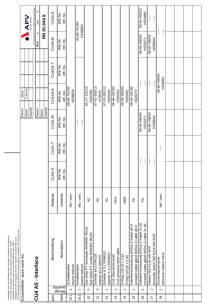|                |                          | (Paragraph 18 UWG, Paragraph 106 UrhG). Eigentum und alle Rechte, auch<br>für Patenterteilung und Gebrauchsmustereintragung, vorbehalten. APV Rosista GmbH.<br>Weitergabe sowie Vervielfältigung dieser Unterlage, Verwertung und Mitteilung<br>ihres Inhalts nicht gestattet, soweit nicht schriftlich zugestanden. Verstoß<br>verpflichtet zum Schadensersatz und kann strafrechtliche Folgen haben |             |                              |                    |                         |                                         |                               |                         |                                                    |
|----------------|--------------------------|-------------------------------------------------------------------------------------------------------------------------------------------------------------------------------------------------------------------------------------------------------------------------------------------------------------------------------------------------------------------------------------------------------|-------------|------------------------------|--------------------|-------------------------|-----------------------------------------|-------------------------------|-------------------------|----------------------------------------------------|
|                |                          | Ersatzteilliste: spare parts list                                                                                                                                                                                                                                                                                                                                                                     |             |                              |                    | Datum:<br>Name:         | D.Schulz<br>05/10                       |                               |                         | <b>NAN</b>                                         |
|                |                          |                                                                                                                                                                                                                                                                                                                                                                                                       |             |                              |                    | Geprüft:                |                                         |                               |                         | AN SPX BRAND                                       |
|                |                          | CU4 AS - Interface                                                                                                                                                                                                                                                                                                                                                                                    |             |                              |                    | Datum:                  |                                         |                               | $\overline{a}$<br>Blatt | APV Rosista GmbH, D-59425 Unna Germany<br>4<br>yon |
|                |                          |                                                                                                                                                                                                                                                                                                                                                                                                       |             |                              |                    | Gepruft:<br>Name:       |                                         |                               |                         | RN 01.044.5                                        |
| pos.           |                          | Beschreibung                                                                                                                                                                                                                                                                                                                                                                                          | Material    | CU41-S                       | CU41-T             | <b>CU41-M</b>           | <b>CU41N-S</b>                          | CU41N-T                       | <b>CU43-M</b>           | CU43-S                                             |
| item           | Menge                    | description<br>quantity                                                                                                                                                                                                                                                                                                                                                                               | material    | WS-Nr.<br>ref.-no.           | WS-Nr.<br>ref.-no. | WS-Nr.<br>ref.-no.      | WS-Nr.<br>ref.-no.                      | WS-Nr.<br>ref.-no.            | WS-Nr.<br>ref.-no.      | WS-Nr.<br>ref.-no.                                 |
| 19.1           | $\overline{ }$           | sound reducer<br>Schalldämpfer                                                                                                                                                                                                                                                                                                                                                                        | Ms/vern.    |                              |                    |                         | 08-60-751/93<br>H208826                 |                               |                         |                                                    |
| 19.2           | $\overline{\phantom{0}}$ | sound reducer<br>Schalldämpfer                                                                                                                                                                                                                                                                                                                                                                        | Ms / vern.  |                              |                    | ļ<br>I                  |                                         |                               | 08-00-751/93<br>H208826 |                                                    |
| $\overline{c}$ | Ю                        | Ejot Delta PT Schraube WN5452 40x16<br>Ejot Delta PT screw WN5452 40x16                                                                                                                                                                                                                                                                                                                               | A2          |                              |                    |                         | 65-17-131/13<br>H320365                 |                               |                         |                                                    |
| $\overline{2}$ | ω                        | Scheibe ø4,3 DIN125<br>washer ø4,3 DIN125                                                                                                                                                                                                                                                                                                                                                             | A2          |                              |                    |                         | 67-01-003/13<br>H79576                  |                               |                         |                                                    |
| 22             | $\overline{ }$           | Scheibe A 3,2 DIN9021<br>washer A 3,2 DIN9021                                                                                                                                                                                                                                                                                                                                                         | $\lambda$   |                              |                    |                         | 67-01-001/12<br>H320404                 |                               |                         |                                                    |
| 23             | $\overline{\phantom{0}}$ | CU4 pressure relief valve<br>CU4 Überströmventil                                                                                                                                                                                                                                                                                                                                                      | <b>Sdd</b>  |                              |                    |                         | 08-46-037/93<br>H320352                 |                               |                         |                                                    |
| 24             | $\overline{\phantom{0}}$ | O-Ring 120,32 x 2,62<br>O-ring 120,32 x 2,62                                                                                                                                                                                                                                                                                                                                                          | <b>NBR</b>  |                              |                    |                         | H320402<br>08-46-041/93<br>58-06-583/83 |                               |                         |                                                    |
| 25             | $\overline{\phantom{0}}$ | 6-5ø jeqey 5' k0ZM bunqneuyosia Nepe<br>screwed cable gland M20x1,5 cable ø5-9                                                                                                                                                                                                                                                                                                                        | $\mathbb A$ |                              |                    |                         | H320272                                 |                               |                         |                                                    |
| 26             | $\overline{\phantom{0}}$ | Kabelverschraubung M20x1,5 Kabel 2x ø5<br>screwed cable gland M20x1,5 cable 2x ø5                                                                                                                                                                                                                                                                                                                     | Ã           | $\mathbf{I}$<br>ł            |                    | E6/0+0-9+-80<br>H320371 |                                         | $\mathcal{I}$<br>$\mathbf{I}$ | 08-46-040/93<br>H320371 | 08-60-053/93<br>H324895                            |
| 27             | $\sim$                   | proximity switch Ni5 K11 K-AN 5X/5<br>Initiator Ni5 K11K-AN 5X/5                                                                                                                                                                                                                                                                                                                                      |             | $\mathbf{I}$<br>$\mathbf{I}$ |                    | 08-60-769/93<br>H208844 |                                         | $\mathbf{I}$<br>$\mathbf{I}$  | 08-60-769/93<br>H208844 | ļ.<br>ļ                                            |
| 28             | $\overline{\phantom{0}}$ | pressure reduce valve<br>Druckreduzierventil                                                                                                                                                                                                                                                                                                                                                          | Ms/vern.    |                              | ļ                  |                         |                                         | 08-00-76083<br>H208841        | ļ<br>$\mathbf{I}$       |                                                    |
|                |                          |                                                                                                                                                                                                                                                                                                                                                                                                       |             |                              |                    |                         |                                         |                               |                         |                                                    |
|                |                          |                                                                                                                                                                                                                                                                                                                                                                                                       |             |                              |                    |                         |                                         |                               |                         |                                                    |
|                |                          |                                                                                                                                                                                                                                                                                                                                                                                                       |             |                              |                    |                         |                                         |                               |                         |                                                    |
|                |                          |                                                                                                                                                                                                                                                                                                                                                                                                       |             |                              |                    |                         |                                         |                               |                         |                                                    |